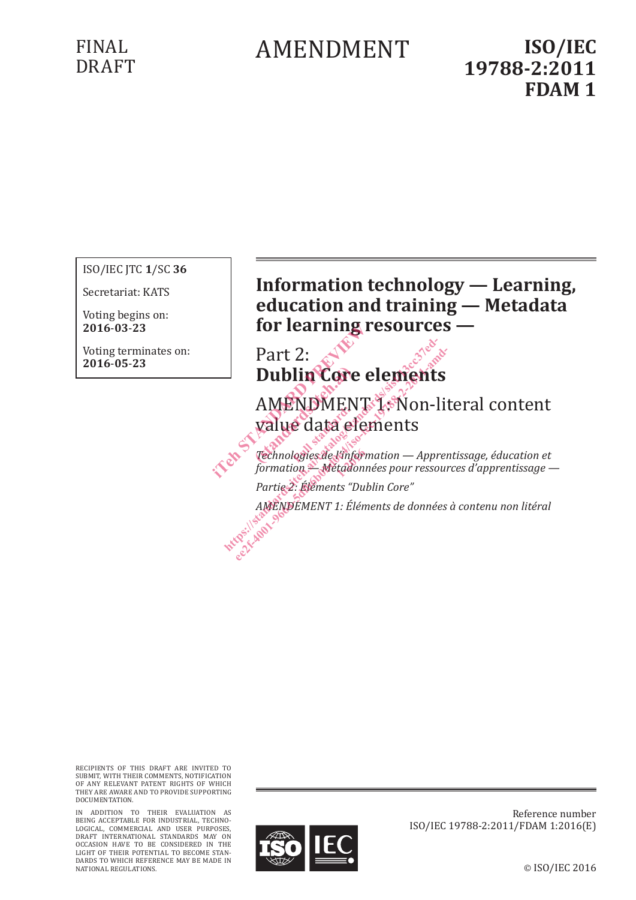## FINAL DRAFT

## AMENDMENT **ISO/IEC**

**19788-2:2011 FDAM 1**

ISO/IEC JTC **1**/SC **36**

Secretariat: KATS

Voting begins on: **2016**-**03**-**23**

Voting terminates on: **2016**-**05**-**23**

## **Information technology — Learning, education and training — Metadata for learning resources —**

# Part 2: **Dublin Core elements** Fort 2:<br>
Dublin Core ele<br>
AMENDMENT 1:<br>
xalue data eleme<br>
xalue data eleme Part 2:<br> **Dublin Core element**<br>
AMENDMENT 1. Non-<br>
value data elements<br>
rechnologies de l'information — Approximation<br>
formation — Metadonnées pour ressor<br>
Partie 2: Étéments "Dublin Core"<br>
AMENDEMENT 1: Éléments de donné Part 2:<br> **Dublin Core elements**<br>
AMENDMENT 1: Non-li<br>
value data elements<br>
rechnologies de l'information — Appre<br>
formation — Métadonnées pour ressou<br>
Partie 2: Étéments "Dublin Core"<br>
AMENDÉMENT 1: Éléments de données

AMENDMENT 1: Non-literal content value data elements **TECHNOLOGIES ACTION INCLETED CONCENT**<br> **Technologies de l'information** — Apprentissage, éducation et Dublin Core<br>AMENDMEN<br>value data el<br>rechnologies de l'info

*formation — Métadonnées pour ressources d'apprentissage*  linfor.<br>tadon

*Partie 2: Éléments "Dublin Core"*

*AMENDEMENT 1: Éléments de données à contenu non litéral*<br>
Santé de la propie de la propie de la propie de la propie de la propie de la propie de la propie de la propie de la propie de la propie de la propie de la propie d

RECIPIENTS OF THIS DRAFT ARE INVITED TO SUBMIT, WITH THEIR COMMENTS, NOTIFICATION OF ANY RELEVANT PATENT RIGHTS OF WHICH THEY ARE AWARE AND TO PROVIDE SUPPORTING DOCUMENTATION.

IN ADDITION TO THEIR EVALUATION AS<br>BEING ACCEPTABLE FOR INDUSTRIAL, TECHNO-<br>LOGICAL, COMMERCIAL AND USER PURPOSES,<br>DRAFT INTERNATIONAL STANDARDS MAY ON<br>OCCASION HAVE TO BE CONSIDERED IN THE<br>LIGHT OF THEIR POTENTIAL TO BECO DARDS TO WHICH REFERENCE MAY BE MADE IN NATIONAL REGULATIONS.



Reference number ISO/IEC 19788-2:2011/FDAM 1:2016(E)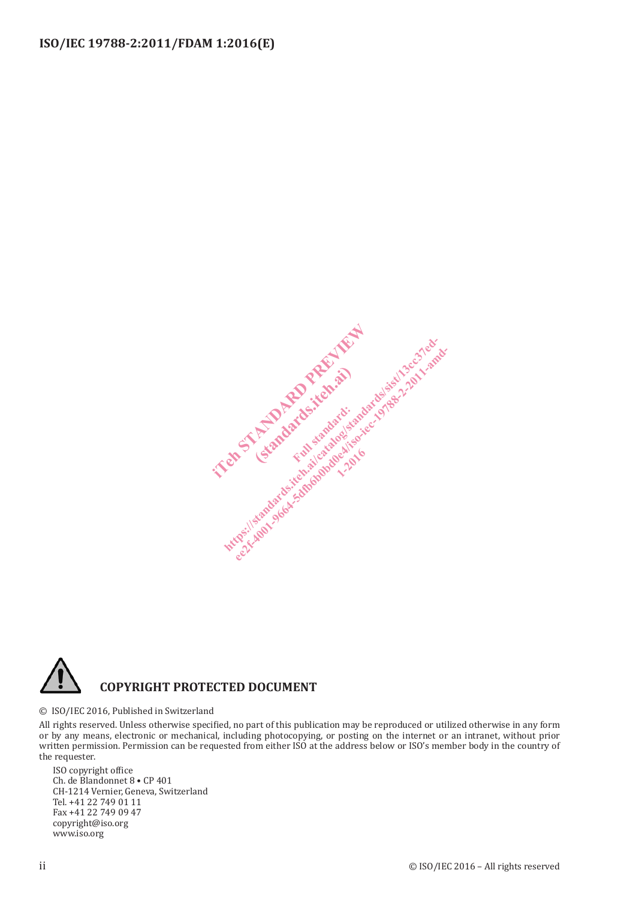



#### © ISO/IEC 2016, Published in Switzerland

All rights reserved. Unless otherwise specified, no part of this publication may be reproduced or utilized otherwise in any form or by any means, electronic or mechanical, including photocopying, or posting on the internet or an intranet, without prior written permission. Permission can be requested from either ISO at the address below or ISO's member body in the country of the requester.

ISO copyright office Ch. de Blandonnet 8 • CP 401 CH-1214 Vernier, Geneva, Switzerland Tel. +41 22 749 01 11 Fax +41 22 749 09 47 copyright@iso.org www.iso.org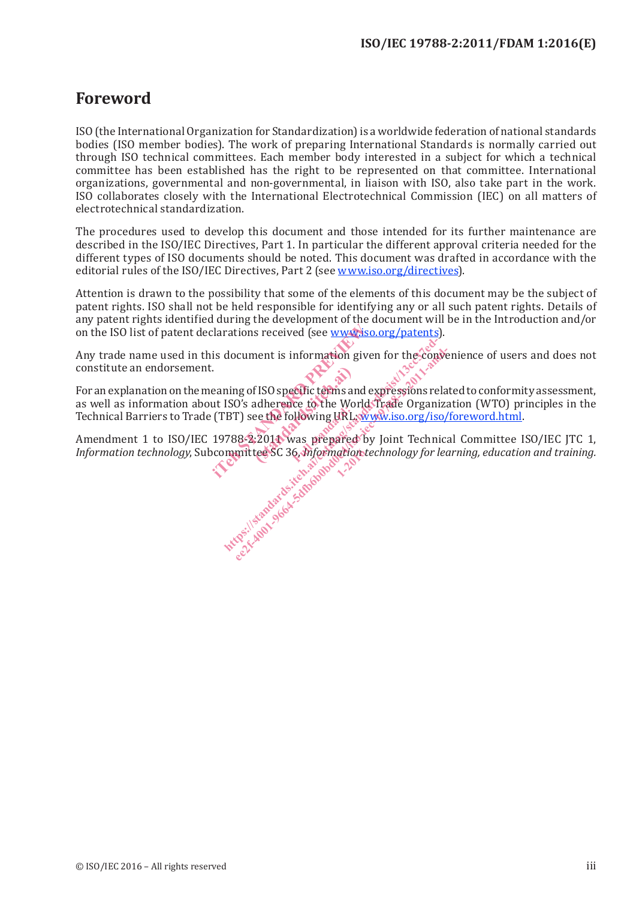## **Foreword**

ISO (the International Organization for Standardization) is a worldwide federation of national standards bodies (ISO member bodies). The work of preparing International Standards is normally carried out through ISO technical committees. Each member body interested in a subject for which a technical committee has been established has the right to be represented on that committee. International organizations, governmental and non-governmental, in liaison with ISO, also take part in the work. ISO collaborates closely with the International Electrotechnical Commission (IEC) on all matters of electrotechnical standardization.

The procedures used to develop this document and those intended for its further maintenance are described in the ISO/IEC Directives, Part 1. In particular the different approval criteria needed for the different types of ISO documents should be noted. This document was drafted in accordance with the editorial rules of the ISO/IEC Directives, Part 2 (see www.iso.org/directives).

Attention is drawn to the possibility that some of the elements of this document may be the subject of patent rights. ISO shall not be held responsible for identifying any or all such patent rights. Details of any patent rights identified during the development of the document will be in the Introduction and/or on the ISO list of patent declarations received (see www.iso.org/patents).

Any trade name used in this document is information given for the convenience of users and does not constitute an endorsement.

For an explanation on the meaning of ISO specific terms and expressions related to conformity assessment, as well as information about ISO's adherence to the World Trade Organization (WTO) principles in the Technical Barriers to Trade (TBT) see the following URL; www.iso.org/iso/foreword.html. clarations received (see www.iso.or<br>is document is information given f<br>eaning of ISO specific terms and expredict the World Tra<br>(TBT) see the following URL; www.<br>19788-2:2014 was prepared by Jo<br>committee SC 36, information f ISO specific terms and<br>adherence to the Wor<br>ee the following URL:<br>:2011 was prepared<br>tee SC 36, *informatio*n document is information given for the conduction<br>ming of ISO specific terms and expressions re<br>ISO's adherence to the World Trade Organ<br>BT) see the following URL, www.iso.org/is<br>788-2:2014 was prepared by Joint Techn<br>munit experience to the World Trade Organization is information in expressions relations of the World Trade Organiz<br>
T) see the following URL, www.iso.org/iso.<br>
38-2:2011 was prepared by Joint Technic<br>
mittee SC 36, *mformation* 

Amendment 1 to ISO/IEC 19788-2:2011 was prepared by Joint Technical Committee ISO/IEC JTC 1, *Information technology*, Subcommittee SC 36, *Information technology for learning, education and training.*

 $\int \mathcal{V}$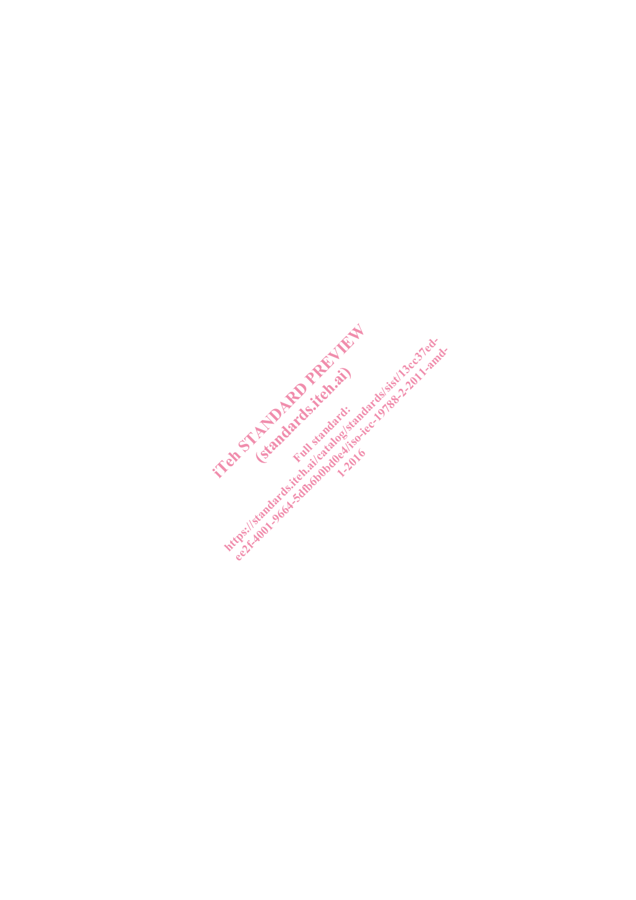in Standard Preview in the Assessment of the Assessment of the Assessment of the Assessment of the Assessment of the Assessment of the Assessment of the Assessment of the Assessment of the Assessment of the Assessment of t (Standards.iteh.ai) Https://standards.iteh.ai/catalogistandards.iteh.ai/catalogistandards.iteh.ai/catalogistandards.iteh.ai/catalogistandards.iteh.ai/catalogistandards.iteh.ai/catalogistandards.iteh.ai/catalogistandards.iteh.ai/catalogistanda ee2f-4001-9664-5dfb6bd80802-2016<br>ee2f-4001-9664-5dfb6bd80802-2016<br>ee2f-4001-9664-5dfb6bd80802-2016-2-2012-4-2011-amd-<br>ee2f-4001-9664-5dfb6bd80802-2016 **1016**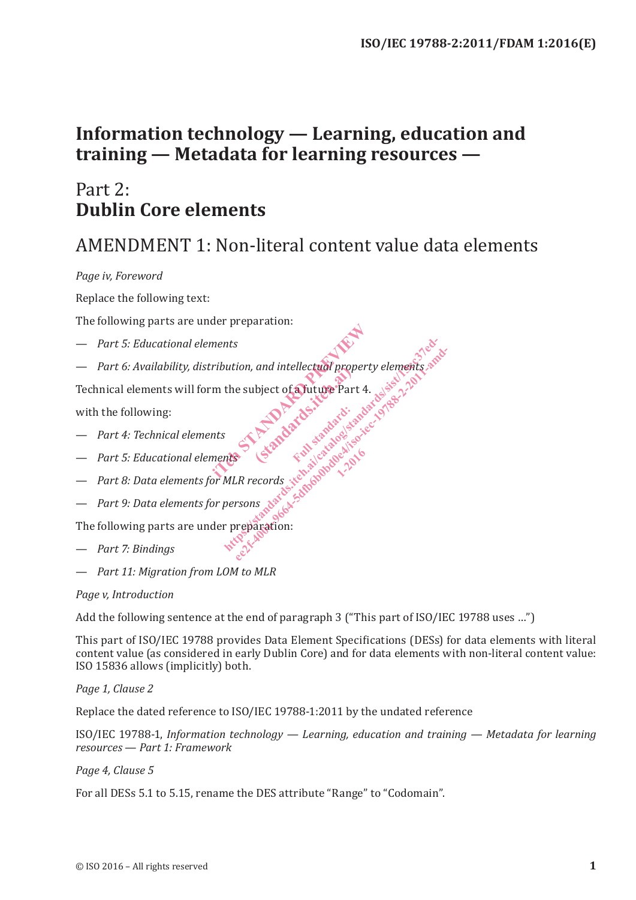## **Information technology — Learning, education and training — Metadata for learning resources —**

## Part 2: **Dublin Core elements**

## AMENDMENT 1: Non-literal content value data elements

*Page iv, Foreword*

Replace the following text:

The following parts are under preparation:

- *Part 5: Educational elements*
- *Part 6: Availability, distribution, and intellectual property elements* ments<br>
ribution, and intellectual property el http://www.ai-mail.com/www.ai-mail.com/www.ai-mail.com/www.ai-mail.com/www.ai-mail.com/www.ai-mail.com/www.ai-mail.com/www.ai-mail.com/www.ai-mail.com/www.ai-mail.com/www.ai-mail.com/www.ai-mail.com/www.ai-mail.com/www.aiion, and intellectual property elements and

Technical elements will form the subject of a future Part 4. dia intellectual prop.

with the following:

- *Part 4: Technical elements*
- *Part 5: Educational elements*
- *Part 8: Data elements for MLR records*
- *Part 9: Data elements for persons*

The following parts are under preparation:

- *Part 7: Bindings*
- *Part 11: Migration from LOM to MLR*

*Page v, Introduction*

Add the following sentence at the end of paragraph 3 ("This part of ISO/IEC 19788 uses …")

Ful standardist

**1016** 

This part of ISO/IEC 19788 provides Data Element Specifications (DESs) for data elements with literal content value (as considered in early Dublin Core) and for data elements with non-literal content value: ISO 15836 allows (implicitly) both.

*Page 1, Clause 2*

Replace the dated reference to ISO/IEC 19788-1:2011 by the undated reference

ISO/IEC 19788-1, *Information technology — Learning, education and training — Metadata for learning resources* — *Part 1: Framework*

*Page 4, Clause 5*

For all DESs 5.1 to 5.15, rename the DES attribute "Range" to "Codomain".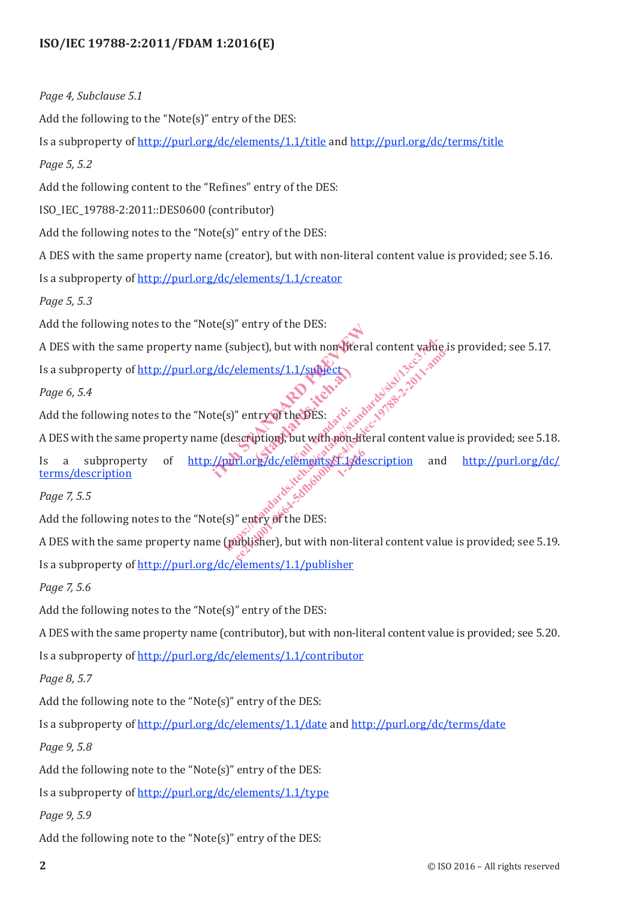#### **ISO/IEC 19788-2:2011/FDAM 1:2016(E)**

*Page 4, Subclause 5.1*

Add the following to the "Note(s)" entry of the DES:

Is a subproperty of http://purl.org/dc/elements/1.1/title and http://purl.org/dc/terms/title

*Page 5, 5.2*

Add the following content to the "Refines" entry of the DES:

ISO\_IEC\_19788-2:2011::DES0600 (contributor)

Add the following notes to the "Note(s)" entry of the DES:

A DES with the same property name (creator), but with non-literal content value is provided; see 5.16.

Is a subproperty of http://purl.org/dc/elements/1.1/creator

*Page 5, 5.3*

Add the following notes to the "Note(s)" entry of the DES:

A DES with the same property name (subject), but with non-literal content value is provided; see 5.17.

Is a subproperty of http://purl.org/dc/elements/1.1/subject

*Page 6, 5.4*

Add the following notes to the "Note(s)" entry of the DES:

A DES with the same property name (description), but with non-literal content value is provided; see 5.18. ments/1.1/subject

Is a subproperty of <u>http://purl.org/dc/elements/1.1/description</u> and <u>http://purl.org/dc/</u><br>terms/description terms/description ite(s) entry of the DES:<br>
me (subject), but with non-literal contracts to the previous state of the previous contracts of the previous contracts of the description, but with non-literal streams of the previous contract of (subject), but with non-literal content yahool c/elements/1.1/subject<br>
(s)" entry of the DES: and standards of the Allies of the Allies of the Allies of the Allies of the Allies of the Allies of the Allies of the Allies of elements/1.1/subject<br>
elements/1.1/subject<br>
" entry of the DES:<br>
" entry of the DES:<br>
seription), but with non-literal content value<br>
" entry of the DES:<br>
" entry of the DES:<br>
" entry of the DES:

*Page 7, 5.5*

Add the following notes to the "Note(s)" entry of the DES:

A DES with the same property name (publisher), but with non-literal content value is provided; see 5.19.

Is a subproperty of http://purl.org/dc/elements/1.1/publisher

*Page 7, 5.6*

Add the following notes to the "Note(s)" entry of the DES:

A DES with the same property name (contributor), but with non-literal content value is provided; see 5.20.

Is a subproperty of http://purl.org/dc/elements/1.1/contributor

*Page 8, 5.7*

Add the following note to the "Note(s)" entry of the DES:

Is a subproperty of http://purl.org/dc/elements/1.1/date and http://purl.org/dc/terms/date

*Page 9, 5.8*

Add the following note to the "Note(s)" entry of the DES:

Is a subproperty of http://purl.org/dc/elements/1.1/type

*Page 9, 5.9*

Add the following note to the "Note(s)" entry of the DES: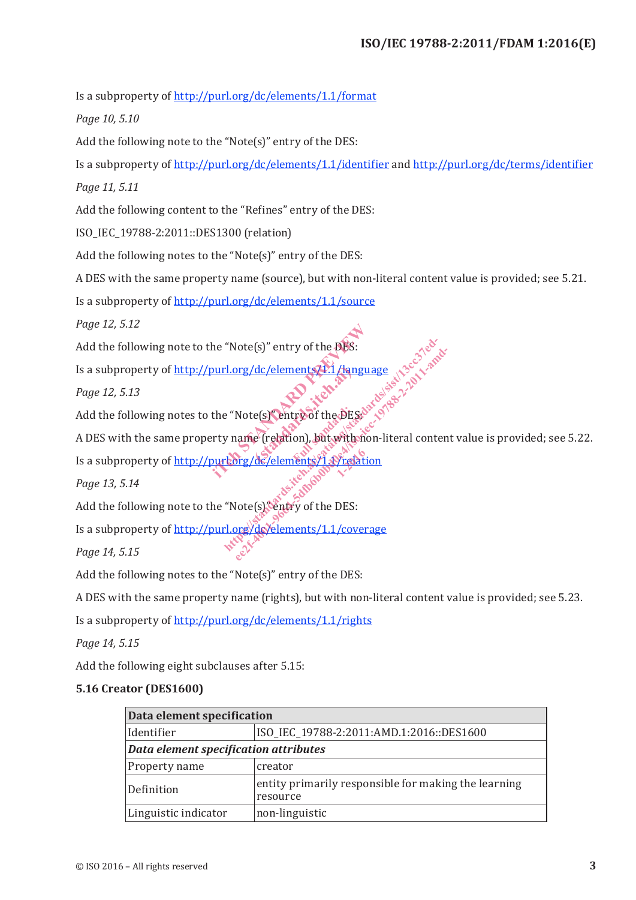Is a subproperty of http://purl.org/dc/elements/1.1/format

*Page 10, 5.10*

Add the following note to the "Note(s)" entry of the DES:

Is a subproperty of http://purl.org/dc/elements/1.1/identifier and http://purl.org/dc/terms/identifier

*Page 11, 5.11*

Add the following content to the "Refines" entry of the DES:

ISO\_IEC\_19788-2:2011::DES1300 (relation)

Add the following notes to the "Note(s)" entry of the DES:

A DES with the same property name (source), but with non-literal content value is provided; see 5.21.

Is a subproperty of http://purl.org/dc/elements/1.1/source

*Page 12, 5.12*

Add the following note to the "Note(s)" entry of the DES:

Is a subproperty of <u>http://purl.org/dc/elements/1.1/language</u>

*Page 12, 5.13*

Add the following notes to the "Note(s)" entry of the DES:

A DES with the same property name (relation), but with non-literal content value is provided; see 5.22. the "Note(s)" entry of the DES:<br>
burl.org/dc/elements (F) Aanguage<br>
the "Note(s) entry of the DES: dc/elements.<br>Ful dan<br>Elements.iteh.html<br>Ful standard:<br>Ful standard:<br>Full standard:<br>Full standard:<br>Full standard:<br>Full starting in the standard: "Note(s)" entry of the DES:<br>https://dc/elements.11.1/language<br>e "Note(s) entry of the DES:<br>by name (relation), but with non-literal cont<br>clorg/de/elements/130 relation<br>"Note(s) centry of the DES:<br>https://de/elements/1.1/co exects) entry of the person or correspondent of the person of the correspondent of the person of the correspondent of the person of the correspondent of the correspondent of the correspondent of the correspondent of the co

Is a subproperty of http://purkorg/dc/elements/1.1/relation

*Page 13, 5.14*

Add the following note to the "Note(s)" entry of the DES:

Is a subproperty of http://purl.org/dc/elements/1.1/coverage

*Page 14, 5.15*

Add the following notes to the "Note(s)" entry of the DES:

A DES with the same property name (rights), but with non-literal content value is provided; see 5.23.

Is a subproperty of http://purl.org/dc/elements/1.1/rights

*Page 14, 5.15*

Add the following eight subclauses after 5.15:

#### **5.16 Creator (DES1600)**

| Data element specification            |                                                                  |  |
|---------------------------------------|------------------------------------------------------------------|--|
| Identifier                            | ISO_IEC_19788-2:2011:AMD.1:2016::DES1600                         |  |
| Data element specification attributes |                                                                  |  |
| Property name                         | creator                                                          |  |
| Definition                            | entity primarily responsible for making the learning<br>resource |  |
| Linguistic indicator                  | non-linguistic                                                   |  |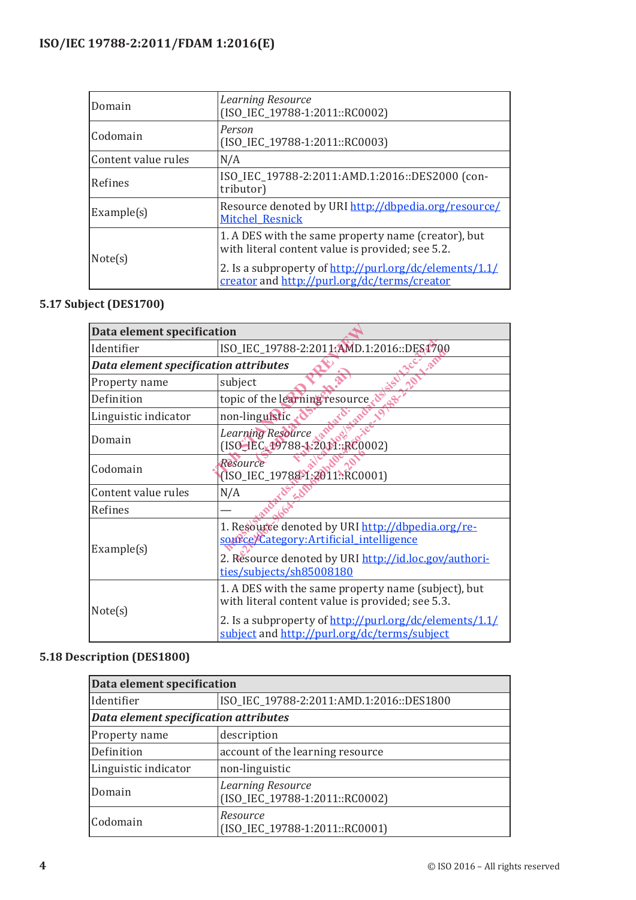## **ISO/IEC 19788-2:2011/FDAM 1:2016(E)**

| l Domain            | <b>Learning Resource</b><br>(ISO_IEC_19788-1:2011::RC0002)                                                     |
|---------------------|----------------------------------------------------------------------------------------------------------------|
| Codomain            | Person<br>(ISO_IEC_19788-1:2011::RC0003)                                                                       |
| Content value rules | N/A                                                                                                            |
| Refines             | ISO_IEC_19788-2:2011:AMD.1:2016::DES2000 (con-<br>tributor)                                                    |
| Example(s)          | Resource denoted by URI http://dbpedia.org/resource/<br><b>Mitchel Resnick</b>                                 |
| Note(s)             | 1. A DES with the same property name (creator), but<br>with literal content value is provided; see 5.2.        |
|                     | 2. Is a subproperty of <u>http://purl.org/dc/elements/1.1/</u><br>creator and http://purl.org/dc/terms/creator |

#### **5.17 Subject (DES1700)**

| Data element specification            |                                                                                                                                                        |  |
|---------------------------------------|--------------------------------------------------------------------------------------------------------------------------------------------------------|--|
| Identifier                            | ISO_IEC_19788-2:2011;AMD.1:2016::DES1700                                                                                                               |  |
| Data element specification attributes |                                                                                                                                                        |  |
| Property name                         | subject                                                                                                                                                |  |
| Definition                            | topic of the learning resource.                                                                                                                        |  |
| Linguistic indicator                  | non-linguistic                                                                                                                                         |  |
| Domain                                | Learning Resource<br>(ISO_IEC_19788-1-2011:RC0002)                                                                                                     |  |
| Codomain                              | Resource<br>(ISO_IEC_19788-1:2011:RC0001)                                                                                                              |  |
| Content value rules                   | N/A                                                                                                                                                    |  |
| Refines                               |                                                                                                                                                        |  |
| Example(s)                            | 1. Resource denoted by URI http://dbpedia.org/re-<br>source/Category: Artificial_intelligence<br>2. Resource denoted by URI http://id.loc.gov/authori- |  |
|                                       | ties/subjects/sh85008180                                                                                                                               |  |
| Note(s)                               | 1. A DES with the same property name (subject), but<br>with literal content value is provided; see 5.3.                                                |  |
|                                       | 2. Is a subproperty of http://purl.org/dc/elements/1.1/<br>subject and http://purl.org/dc/terms/subject                                                |  |

#### **5.18 Description (DES1800)**

| Data element specification            |                                                     |  |
|---------------------------------------|-----------------------------------------------------|--|
| Identifier                            | ISO_IEC_19788-2:2011:AMD.1:2016::DES1800            |  |
| Data element specification attributes |                                                     |  |
| Property name                         | description                                         |  |
| Definition                            | account of the learning resource                    |  |
| Linguistic indicator                  | non-linguistic                                      |  |
| Domain                                | Learning Resource<br>(ISO_IEC_19788-1:2011::RC0002) |  |
| Codomain                              | Resource<br>(ISO_IEC_19788-1:2011::RC0001)          |  |